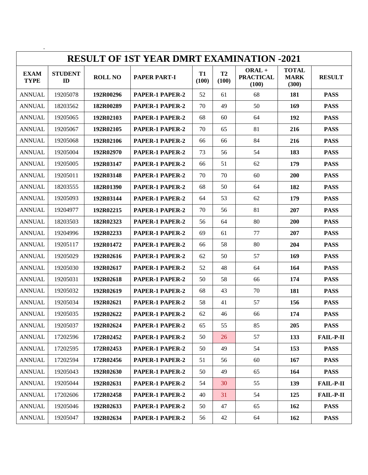| <b>RESULT OF 1ST YEAR DMRT EXAMINATION -2021</b> |                      |                |                     |                    |                    |                                       |                                      |                  |  |  |  |
|--------------------------------------------------|----------------------|----------------|---------------------|--------------------|--------------------|---------------------------------------|--------------------------------------|------------------|--|--|--|
| <b>EXAM</b><br><b>TYPE</b>                       | <b>STUDENT</b><br>ID | <b>ROLL NO</b> | <b>PAPER PART-I</b> | <b>T1</b><br>(100) | <b>T2</b><br>(100) | $ORAL +$<br><b>PRACTICAL</b><br>(100) | <b>TOTAL</b><br><b>MARK</b><br>(300) | <b>RESULT</b>    |  |  |  |
| <b>ANNUAL</b>                                    | 19205078             | 192R00296      | PAPER-1 PAPER-2     | 52                 | 61                 | 68                                    | 181                                  | <b>PASS</b>      |  |  |  |
| <b>ANNUAL</b>                                    | 18203562             | 182R00289      | PAPER-1 PAPER-2     | 70                 | 49                 | 50                                    | 169                                  | <b>PASS</b>      |  |  |  |
| <b>ANNUAL</b>                                    | 19205065             | 192R02103      | PAPER-1 PAPER-2     | 68                 | 60                 | 64                                    | 192                                  | <b>PASS</b>      |  |  |  |
| <b>ANNUAL</b>                                    | 19205067             | 192R02105      | PAPER-1 PAPER-2     | 70                 | 65                 | 81                                    | 216                                  | <b>PASS</b>      |  |  |  |
| <b>ANNUAL</b>                                    | 19205068             | 192R02106      | PAPER-1 PAPER-2     | 66                 | 66                 | 84                                    | 216                                  | <b>PASS</b>      |  |  |  |
| <b>ANNUAL</b>                                    | 19205004             | 192R02970      | PAPER-1 PAPER-2     | 73                 | 56                 | 54                                    | 183                                  | <b>PASS</b>      |  |  |  |
| <b>ANNUAL</b>                                    | 19205005             | 192R03147      | PAPER-1 PAPER-2     | 66                 | 51                 | 62                                    | 179                                  | <b>PASS</b>      |  |  |  |
| <b>ANNUAL</b>                                    | 19205011             | 192R03148      | PAPER-1 PAPER-2     | 70                 | 70                 | 60                                    | 200                                  | <b>PASS</b>      |  |  |  |
| <b>ANNUAL</b>                                    | 18203555             | 182R01390      | PAPER-1 PAPER-2     | 68                 | 50                 | 64                                    | 182                                  | <b>PASS</b>      |  |  |  |
| <b>ANNUAL</b>                                    | 19205093             | 192R03144      | PAPER-1 PAPER-2     | 64                 | 53                 | 62                                    | 179                                  | <b>PASS</b>      |  |  |  |
| <b>ANNUAL</b>                                    | 19204977             | 192R02215      | PAPER-1 PAPER-2     | 70                 | 56                 | 81                                    | 207                                  | <b>PASS</b>      |  |  |  |
| <b>ANNUAL</b>                                    | 18203503             | 182R02323      | PAPER-1 PAPER-2     | 56                 | 64                 | 80                                    | 200                                  | <b>PASS</b>      |  |  |  |
| <b>ANNUAL</b>                                    | 19204996             | 192R02233      | PAPER-1 PAPER-2     | 69                 | 61                 | 77                                    | 207                                  | <b>PASS</b>      |  |  |  |
| <b>ANNUAL</b>                                    | 19205117             | 192R01472      | PAPER-1 PAPER-2     | 66                 | 58                 | 80                                    | 204                                  | <b>PASS</b>      |  |  |  |
| <b>ANNUAL</b>                                    | 19205029             | 192R02616      | PAPER-1 PAPER-2     | 62                 | 50                 | 57                                    | 169                                  | <b>PASS</b>      |  |  |  |
| <b>ANNUAL</b>                                    | 19205030             | 192R02617      | PAPER-1 PAPER-2     | 52                 | 48                 | 64                                    | 164                                  | <b>PASS</b>      |  |  |  |
| <b>ANNUAL</b>                                    | 19205031             | 192R02618      | PAPER-1 PAPER-2     | 50                 | 58                 | 66                                    | 174                                  | <b>PASS</b>      |  |  |  |
| <b>ANNUAL</b>                                    | 19205032             | 192R02619      | PAPER-1 PAPER-2     | 68                 | 43                 | 70                                    | 181                                  | <b>PASS</b>      |  |  |  |
| <b>ANNUAL</b>                                    | 19205034             | 192R02621      | PAPER-1 PAPER-2     | 58                 | 41                 | 57                                    | 156                                  | <b>PASS</b>      |  |  |  |
| <b>ANNUAL</b>                                    | 19205035             | 192R02622      | PAPER-1 PAPER-2     | 62                 | 46                 | 66                                    | 174                                  | <b>PASS</b>      |  |  |  |
| <b>ANNUAL</b>                                    | 19205037             | 192R02624      | PAPER-1 PAPER-2     | 65                 | 55                 | 85                                    | 205                                  | <b>PASS</b>      |  |  |  |
| <b>ANNUAL</b>                                    | 17202596             | 172R02452      | PAPER-1 PAPER-2     | 50                 | 26                 | 57                                    | 133                                  | <b>FAIL-P-II</b> |  |  |  |
| <b>ANNUAL</b>                                    | 17202595             | 172R02453      | PAPER-1 PAPER-2     | 50                 | 49                 | 54                                    | 153                                  | <b>PASS</b>      |  |  |  |
| <b>ANNUAL</b>                                    | 17202594             | 172R02456      | PAPER-1 PAPER-2     | 51                 | 56                 | 60                                    | 167                                  | <b>PASS</b>      |  |  |  |
| <b>ANNUAL</b>                                    | 19205043             | 192R02630      | PAPER-1 PAPER-2     | 50                 | 49                 | 65                                    | 164                                  | <b>PASS</b>      |  |  |  |
| <b>ANNUAL</b>                                    | 19205044             | 192R02631      | PAPER-1 PAPER-2     | 54                 | 30                 | 55                                    | 139                                  | <b>FAIL-P-II</b> |  |  |  |
| <b>ANNUAL</b>                                    | 17202606             | 172R02458      | PAPER-1 PAPER-2     | 40                 | 31                 | 54                                    | 125                                  | <b>FAIL-P-II</b> |  |  |  |
| <b>ANNUAL</b>                                    | 19205046             | 192R02633      | PAPER-1 PAPER-2     | 50                 | 47                 | 65                                    | 162                                  | <b>PASS</b>      |  |  |  |
| <b>ANNUAL</b>                                    | 19205047             | 192R02634      | PAPER-1 PAPER-2     | 56                 | 42                 | 64                                    | 162                                  | <b>PASS</b>      |  |  |  |